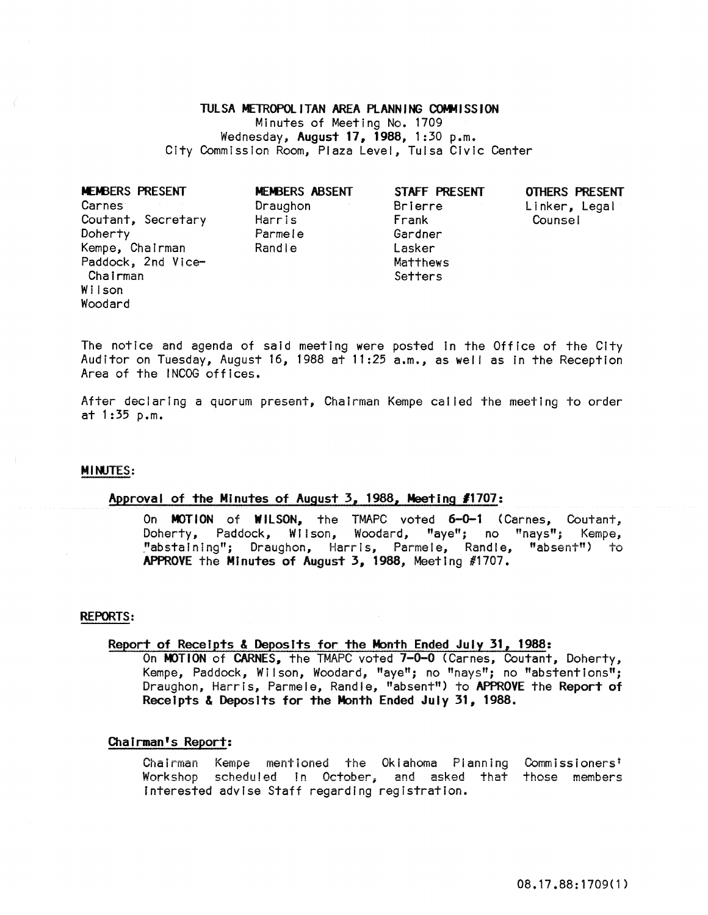# TULSA METROPOliTAN AREA PlANNING COMMISSION Minutes of Meeting No. 1709 Wednesday, August 17,1988, 1:30 p.m. City Commission Room, Plaza Level, Tulsa Civic Center

| <b>MEMBERS PRESENT</b> | MEMBERS ABSENT | STAFF PRESENT  | <b>OTHERS PRESENT</b> |
|------------------------|----------------|----------------|-----------------------|
| Carnes                 | Draughon       | <b>Brierre</b> | Linker, Legal         |
| Coutant, Secretary     | Harris         | Frank          | Counsel               |
| Doherty                | Parmele        | Gardner        |                       |
| Kempe, Chairman        | Randle         | Lasker         |                       |
| Paddock, 2nd Vice-     |                | Matthews       |                       |
| Chairman               |                | Setters        |                       |
| Wilson                 |                |                |                       |
| Woodard                |                |                |                       |

The notice and agenda of said meeting were posted In the Office of the City Auditor on Tuesday, August 16, 1988 at 11:25 a.m., as well as in the Reception Area of the INCOG offices.

After declaring a quorum present, Chairman Kempe called the meeting to order at 1:35 p.m.

#### **MINUTES:**

# Approval of the Minutes of August 3, 1988, Meeting *11707:*

On MOTION of WILSON, the TMAPC voted 6-0-1 (Carnes, Coutant, Doherty, Paddock, Wilson, Woodard, "aye"; no "nays"; Kempe, Paddock, Wilson, Woodard, "aye"; no "nays"; "abstaining"; Draughon, Harris, Parmele, Randle, "absent") to APPROVE the Minutes of August 3, 1988, Meeting #1707.

#### REPORTS:

## Report of Receipts & Deposits for the Month Ended July 31, 1988:

On MOTION of CARNES, the TMAPC voted 7-0-0 (Carnes, Coutant, Doherty, Kempe, Paddock, Wilson, Woodard, "aye"; no "nays"; no "abstentions"; Draughon, Harris, Parmele, Randle, "absent") to APPROVE the Report of Receipts & Deposits for the Month Ended July 31, 1988.

#### ChaIrman's Report:

Chairman Kempe mentioned the Oklahoma Planning Commissioners' Workshop scheduled !n October, and asked that those members Interested advise Staff regarding registration.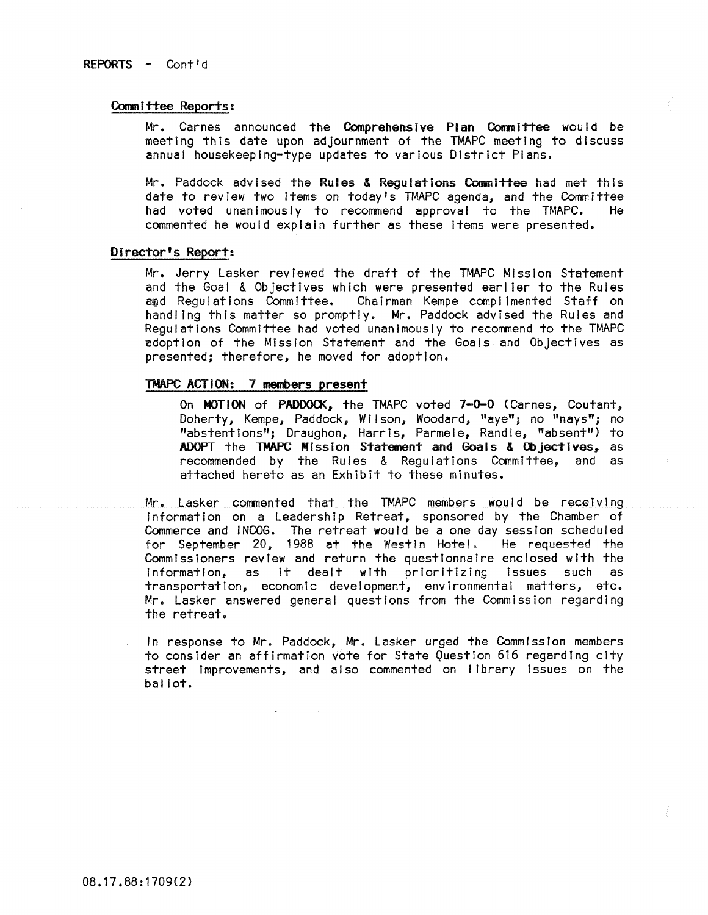#### Committee Reports:

Mr. Carnes announced the Comprehensive Plan Committee would be meeting this date upon adjournment of the TMAPC meeting to discuss annual housekeeping-type updates to various District Plans.

Mr. Paddock advised the Rules & Regulations Committee had met this date to review two Items on today's TMAPC agenda, and the Committee had voted unanimously to recommend approval to the TMAPC. He commented he would explain further as these Items were presented.

# DIrector's Report:

Mr. Jerry Lasker reviewed the draft of the TMAPC Mission Statement and the Goal & Objectives which were presented earlier to the Rules and Regulations Committee. Chairman Kempe complimented Staff on handling this matter so promptly. Mr. Paddock advised the Rules and Regulations Committee had voted unanimously to recommend to the TMAPC adoption of the Mission Statement and the Goals and Objectives as presented; therefore, he moved for adoption.

# TMAPC ACTION: 7 members present

On MOTION of PADDOCK, the TMAPC voted 7-0-0 (Carnes, Coutant, Doherty, Kempe, Paddock, WIlson, Woodard, "aye"; no "nays"; no "abstentions"; Draughon, Harris, Parmele, Randle, "absent") to ADOPT the TMAPC Mission Statement and Goals & Objectives, as recommended by the Rules & Regulations Committee, and as attached hereto as an Exhibit to these minutes.

Mr. Lasker commented that the TMAPC members would be receiving Information on a Leadership Retreat, sponsored by the Chamber of Commerce and INCOG. The retreat would be a one day session scheduled for September 20, 1988 at the Westin Hotel. <sup>'</sup>He requested the Commissioners review and return the questionnaire enclosed with the Information, as It dealt with prioritizing Issues such as transportation, economic development, environmental matters, etc. Mr. Lasker answered general questions from the Commission regarding the retreat.

In response to Mr. Paddock, Mr. Lasker urged the Commission members to consider an affirmation vote for State Question 616 regarding city street improvements, and also commented on library issues on the ballot.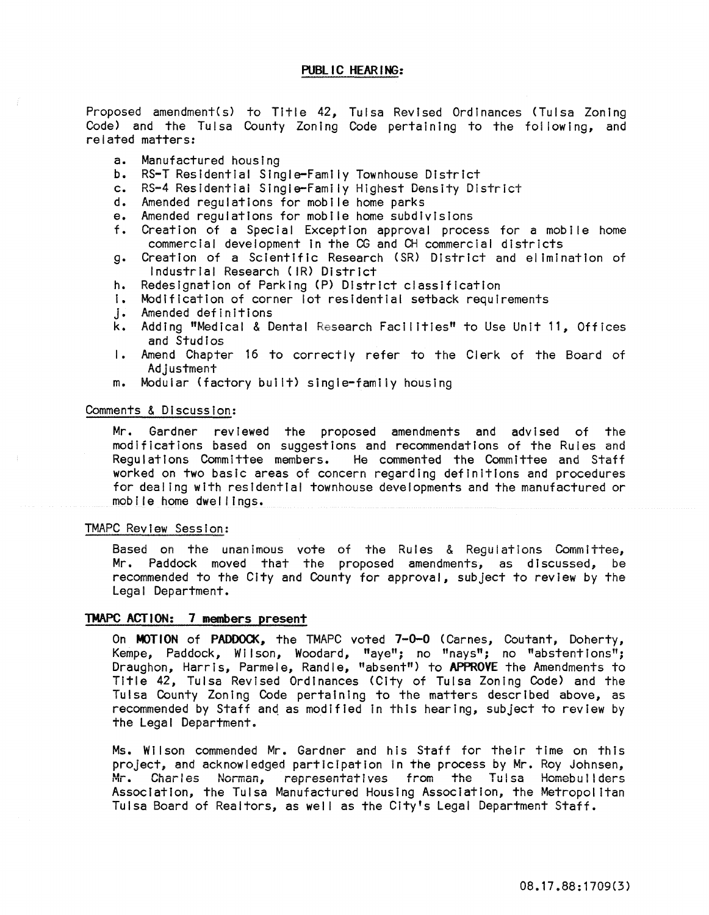#### PUBLIC HEARING:

Proposed amendment(s) to Title 42, Tulsa Revised Ordinances (Tulsa Zoning Code) and the Tulsa County Zoning Code pertaining to the following, and related matters:

- a. Manufactured housing
- b. RS-T Residential Single-Family Townhouse District
- c. RS-4 Resldentiai Single-Family Highest Density District
- d. Amended regulations for mobile home parks
- e. Amended regulations for mobile home subdivisions
- f. Creation of a Special Exception approval process for a mobile home commercial development In the CG and CH commercial districts
- g. Creation of a Scientific Research (SR) District and elimination of Industrial Research (IR) District
- 
- h. Redesignation of Parking (P) District classification<br>i. Modification of corner lot residential setback requir I. Modification of corner lot residential setback requirements J. Amended definitions
- 
- k. Adding "Medical & Dental Research Facilities" to Use Unit 11, Offices and Studios
- I. Amend Chapter 16 to correctly refer to the Clerk of the Board of Adjustment
- m. Modular (factory built) single-family housing

#### Comments & Discussion:

Mr. Gardner reviewed the proposed amendments and advised of the modifications based on suggestions and recommendations of the Rules and Regulations Committee members. He commented the Committee and Staff worked on two basic areas of concern regarding definitions and procedures for deal ing with residential townhouse developments and the manufactured or mobile home dwel lings.

#### TMAPC Review Session:

Based on the unanimous vote of the Rules & Regulations Committee,<br>Mr. Paddock moved that the proposed amendments, as discussed, be Paddock moved that the proposed amendments, as discussed, be recommended to the City and County for approval, subject to review by the Legal Department.

## TMAPC ACTION: 7 members present

On MOTION of PADDOCK, the TMAPC voted 7-0-0 (Carnes, Coutant, Doherty, Kempe, Paddock, Wilson, Woodard, "aye"; no "nays"; no "abstentions"; Draughon, Harris, Parmele, Randle, "absent") to APPROVE the Amendments to Title 42, Tulsa Revised Ordinances (City of Tulsa Zoning Code) and the Tuisa County Zoning Code pertaining to the matters described above, as recommended by Staff and as modified in this hearing, subject to review by the Legal Department.

Ms. Wilson commended Mr. Gardner and his Staff for their time on this project, and acknowledged particIpation In the process by Mr. Roy johnsen, **r.,ir. Charles Norman, representatIves from the Tulsa HomebuIlders**  Association, the Tulsa Manufactured Housing Association, the Metropolitan Tulsa Board of Realtors, as well as the City's Legal Department Staff.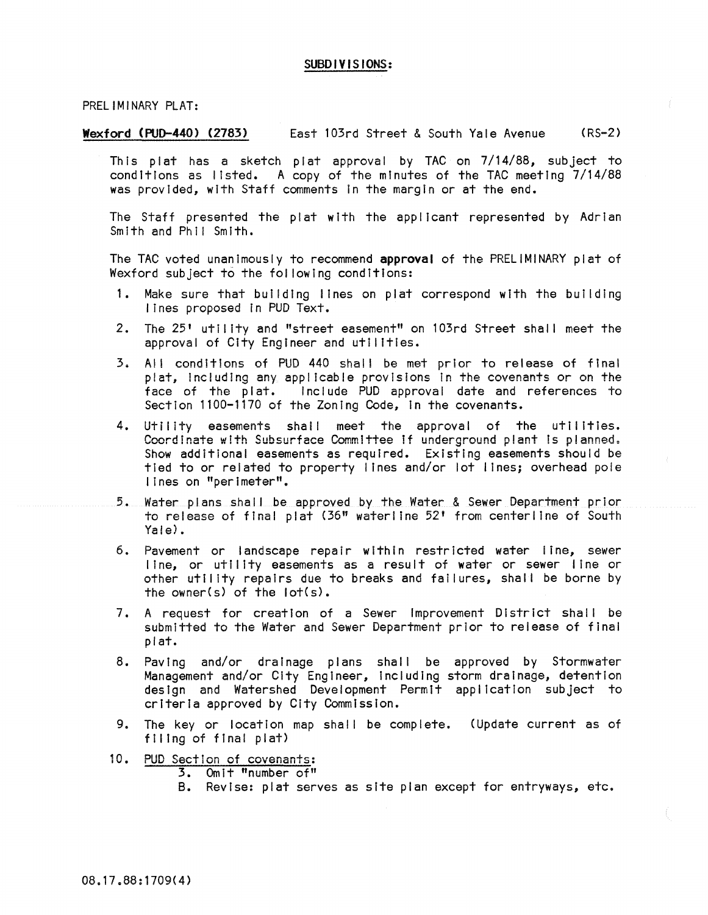# SUBDIVISIONS:

PRELIMINARY PLAT:

Wexford (PUD-440) (2783) East 103rd Street & South Yale Avenue (RS-2)

This plat has a sketch plat approval by TAC on 7/14/88, subject to conditions as listed. A copy of the minutes of the TAC meeting  $7/14/88$ was provided, with Staff comments In the margin or at the end.

The Staff presented the plat with the applicant represented by Adrian Smith and Phil Smith.

The TAC voted unanimously to recommend approval of the PRELIMINARY plat of Wexford subject to the fol lowing conditions:

- 1. Make sure that building Jines on plat correspond with the building lines proposed In PUD Text.
- 2. The 25' utility and "street easement" on 103rd Street shall meet the approval of City Engineer and utilities.
- 3. All conditions of PUD 440 shall be met prior to release of final plat, Including any applicable provisions in the covenants or on the face of the plat. Include PUD approval date and references to Section 1100-1170 of the Zoning Code, In the covenants.
- 4. Utility easements shall meet the approval of the utilities. Coordinate with Subsurface Committee if underground plant is planned. Show additional easements as required. Existing easements should be tied to or related to property lines and/or lot I ines; overhead pole lines on "perimeter".
- 5. Water plans shall be approved by the Water & Sewer Department prior to release of final plat (36" waterline 52' from centerline of South  $Yale$ .
- 6. Pavement or landscape repair within restricted water line, sewer line, or utility easements as a result of water or sewer line or other utility repairs due to breaks and failures, shall be borne by the owner(s) of the lot(s).
- 7. A request for creation of a Sewer Improvement District shall be submitted to the Water and Sewer Department prior to release of final plat.
- 8. Paving and/or drainage plans shall be approved by Stormwater Management and/or City Engineer, Including storm drainage, detention design and Watershed Development Permit application subject to criteria approved by City Commission.
- 9. The key or location map shall be complete. (Update current as of filing of final plat)
- 10. PUD Section of covenants:
	- 3. Omit "number of"
	- B. Revise: plat serves as site plan except for entryways, etc.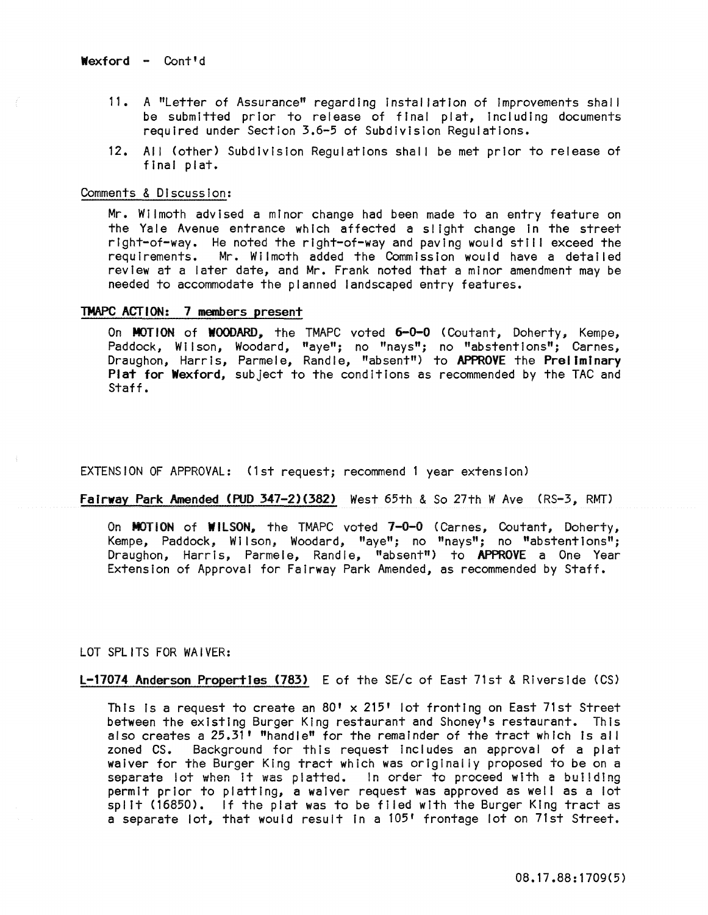- 11. A "Letter of Assurance" regarding Installation of Improvements shal I be submitted prior to release of final plat, including documents required under Section 3.6-5 of Subdivision Regulations.
- 12. All (other) Subdivision Regulations shall be met prior to release of final plat.

## Comments & Discussion:

Mr. Wilmoth advised a mInor change had been made to an entry feature on the Yale Avenue entrance which affected a slight change in the street right-of-way. He noted the right-of-way and paving would still exceed the requirements. Mr. Wilmoth added the Commission would have a detailed review at a later date, and Mr. Frank noted that a minor amendment may be needed to accommodate the planned landscaped entry features.

#### TMAPC ACf ION: 7 members present

On MOTION of WOODARD, the TMAPC voted 6-0-0 (Coutant, Doherty, Kempe, Paddock, Wilson, Woodard, "aye"; no "nays"; no "abstentions"; Carnes, Draughon, Harris, Parmele, Randle, "absent") to <mark>APPROVE</mark> the **Preliminary Plat** for Wexford, subject to the conditions as recommended by the TAC and Staff.

EXTENSION OF APPROVAL: (1st request; recommend 1 year extension)

Fairway Park Amended CPUD 347-2)(382) West 65th & So 27th WAve (RS-3, RMT)

On MOTION of WILSON, the TMAPC voted 7-0-0 (Carnes, Coutant, Doherty, Kempe, Paddock, Wilson, Woodard, "aye"; no "nays"; no "abstentions"; Draughon, Harris, Parmele, Randle, "absent") to APPROVE a One Year Extension of Approval for FaIrway Park Amended, as recommended by Staff.

LOT SPLITS FOR WAIVER:

L-17074 Anderson Properties (783) E of the SE/c of East 71st & Riverside (CS)

This is a request to create an  $80' \times 215'$  lot fronting on East 71st Street between the existing Burger King restaurant and Shoney's restaurant. This also creates a 25.31' "handle" for the remainder of the tract which is all zoned CS. Background for this request includes an approval of a plat waiver for the Burger King tract which was originai iy proposed to be on a separate lot when it was platted. In order to proceed with a building permit prior to platting, a waiver request was approved as well as a lot spilt (16850). If the plat was to be filed with the Burger King tract as a separate lot, that would result in a 105' frontage lot on 71st Street.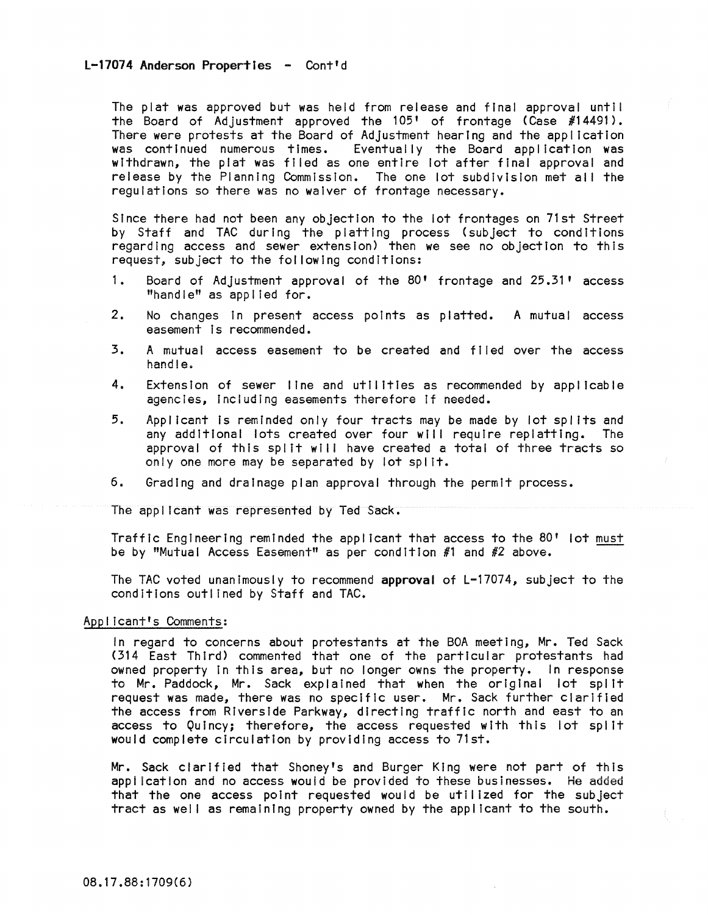The plat was approved but was held from release and final approval untIl the Board of Adjustment approved the 105' of frontage (Case #14491). There were protests at the Board of Adjustment hearing and the application was continued numerous times. Eventually the Board application was withdrawn, the plat was filed as one entire lot after final approval and release by the Planning Commission. The one lot subdivision met all the regulations so there was no waiver of frontage necessary.

Since there had not been any objection to the lot frontages on 71st Street by Staff and TAC during the platting process (subject to conditions regarding access and sewer extension) then we see no objection to this request, subject to the fol lowing conditions:

- 1. Board of Adjustment approval of the 80' frontage and 25.31' access "handle" as appl led for.
- 2. No changes in present access points as platted. A mutual access easement Is recommended.
- 3. A mutual access easement to be created and filed over the access handle.
- 4. Extension of sewer line and utilities as recommended by applicable agencies, including easements therefore If needed.
- 5. Applicant is reminded only four tracts may be made by lot splits and<br>any additional lots created over four will require replatting. The any additional lots created over four will require replatting. approval of this spilt will have created a total of three tracts so only one more may be separated by lot split.
- 6. Grading and drainage plan approval through the permit process.

The applicant was represented by Ted Sack.

Traffic Engineering reminded the applicant that access to the 80' lot must be by "Mutual Access Easement" as per condition #1 and #2 above.

The TAC voted unanimously to recommend approval of L-17074, subject to the conditions outl lned by Staff and TAC.

#### Applicant's Comments:

In regard to concerns about protestants at the BOA meeting, Mr. Ted Sack (314 East Third) commented that one of the particular protestants had owned property In this area, but no longer owns the property. In response to Mr. Paddock, Mr. Sack explained that when the original lot split request was made, there was no specific user. Mr. Sack further clarified the access from Riverside Parkway, directing traffic north and east to an access to Quincy; therefore, the access requested with this lot split would complete circulation by providing access to 71st.

Mr. Sack clarified that Shoney's and Burger King were not part of this appi icatlon and no access wouid be provided to these businesses. He added that the one access point requested would be utilized for the subject tract as well as remaining property owned by the applicant to the south.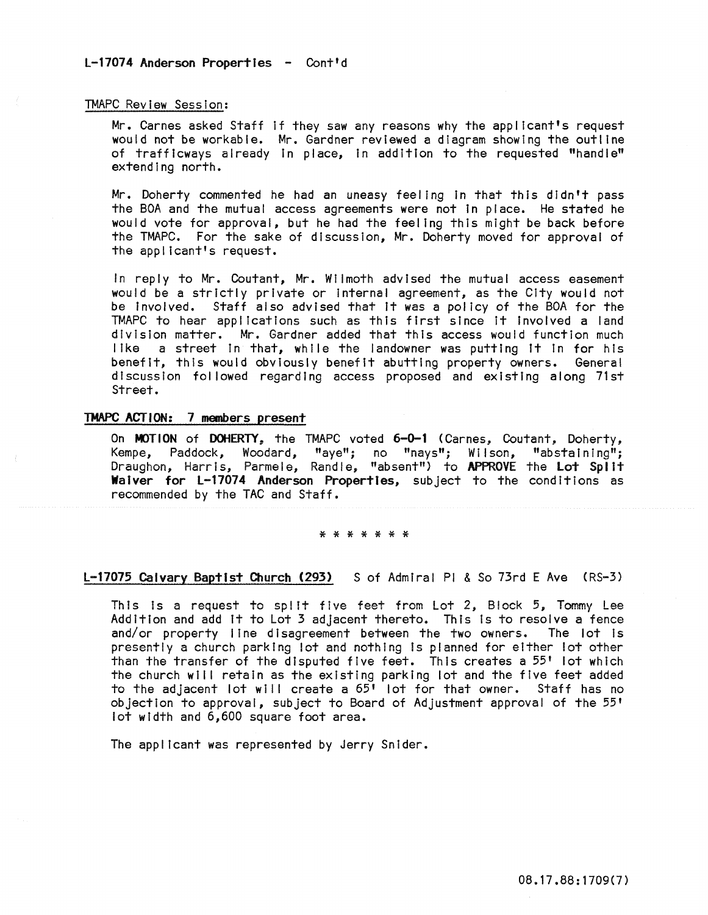#### L-l1014 Anderson Properties - Cont'd

#### TMAPC Review Session:

Mr. Carnes asked Staff If they saw any reasons why the applicant's request would not be workable. Mr. Gardner reviewed a diagram showing the outline of trafflcways already In place, In addition to the requested "handle" extending north.

Mr. Doherty commented he had an uneasy feeling In that this didn't pass the BOA and the mutual access agreements were not In place. He stated he would vote for approval, but he had the feeling this might be back before the TMAPC. For the sake of discussion, Mr. Doherty moved for approval of the applicant's request.

In reply to Mr. Coutant, Mr. Wilmoth advised the mutual access easement would be a strictly private or Internal agreement, as the City would not be Involved. Staff also advised that It was a policy of the BOA for the TMAPC to hear applications such as this first since it involved a land division matter. Mr. Gardner added that this access would function much like a street in that, while the landowner was putting it in for his benefit, this would obviously benefit abutting property owners. General discussion followed regarding access proposed and existing along 71st Street.

#### TMAPC ACTION: 7 members present

On MOTION of DOHERTY, the TMAPC voted 6-0-1 (Carnes, Coutant, Doherty, Kempe, Paddock, Woodard, "aye"; no "nays"; Wilson, "abstaining"; Draughon, Harris, Parmele, Randle, "absent") to APPROVE the Lot Split Waiver for L-17074 Anderson Properties, subject to the conditions as recommended by the TAC and Staff.

#### \* \* \* \* \* \* \*

L-17075 Calvary Baptist Church (293) S of Admiral PI & So 73rd E Ave  $(RS-3)$ 

This Is a request to spilt five feet from Lot 2, Block 5, Tommy Lee Addition and add It to Lot 3 adjacent thereto. This Is to resolve a fence and/or property line disagreement between the two owners. The lot Is presently a church parking lot and nothing Is planned for either lot other than the transfer of the disputed five feet. This creates a 55' lot which the church will retain as the existing parking lot and the five feet added to the adjacent lot will create a 65' lot for that owner. Staff has no objection to approval, subject to Board of Adjustment approval of the 55' lot width and 6,600 square foot area.

The applicant was represented by Jerry Snider.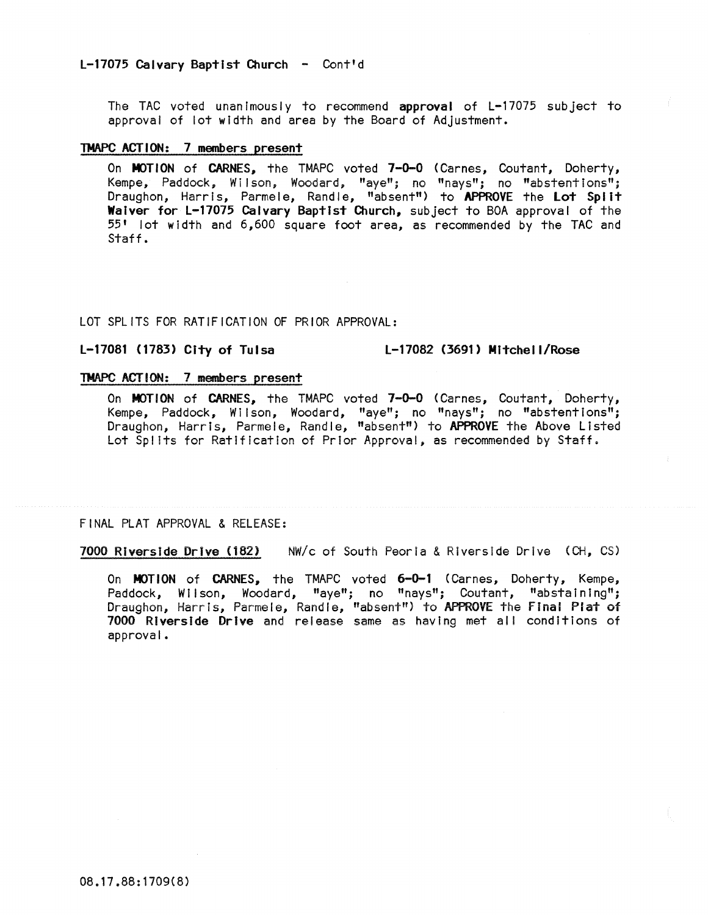The TAC voted unanimously to recommend approval of L-17075 subject to approval of lot width and area by the Board of Adjustment.

# TMAPC ACTION: 7 members present

On MOTION of CARNES, the TMAPC voted 7-0-0 (Carnes, Coutant, Doherty, Kempe, Paddock, Wilson, Woodard, "aye"; no "nays"; no "abstentIons", Draughon, Harris, Parmele, Randle, "absent") to **APPROVE** the Lot Split Waiver for L-17075 Calvary Baptist Church, subject to BOA approval of the 55' lot width and 6,600 square foot area, as recommended by the TAC and Staff.

# LOT SPLITS FOR RATIFICATION OF PRIOR APPROVAL:

# L-17081 (1783) City of Tulsa L-17082 (3691) Mitchell/Rose

# TMAPC ACTION: 7 members present

On MOTION of CARNES, the TMAPC voted 7-0-0 (Carnes, Coutant, Doherty, Kempe, Paddock, Wilson, Woodard, "aye"; no "nays"; no "abstentions"; Draughon, Harris, Parmele, Randle, "absent") to APPROVE the Above Listed Lot Splits for Ratification of Prior Approval, as recommended by Staff.

FINAL PLAT APPROVAL & RELEASE:

**7000 Riverside Drive (182)** NW/c of South Peoria & Riverside Drive (CH, CS)

On MOTION of CARNES, the TMAPC voted 6-0-1 (Carnes, Doherty, Kempe, Paddock, Wilson, Woodard, "aye"; no "nays"; Coutant, "abstaining"; Draughon, Harris, Parmele, Randle, "absent") to APPROVE the Final Plat of 7000 Riverside Drive and release same as having met all conditions of approval.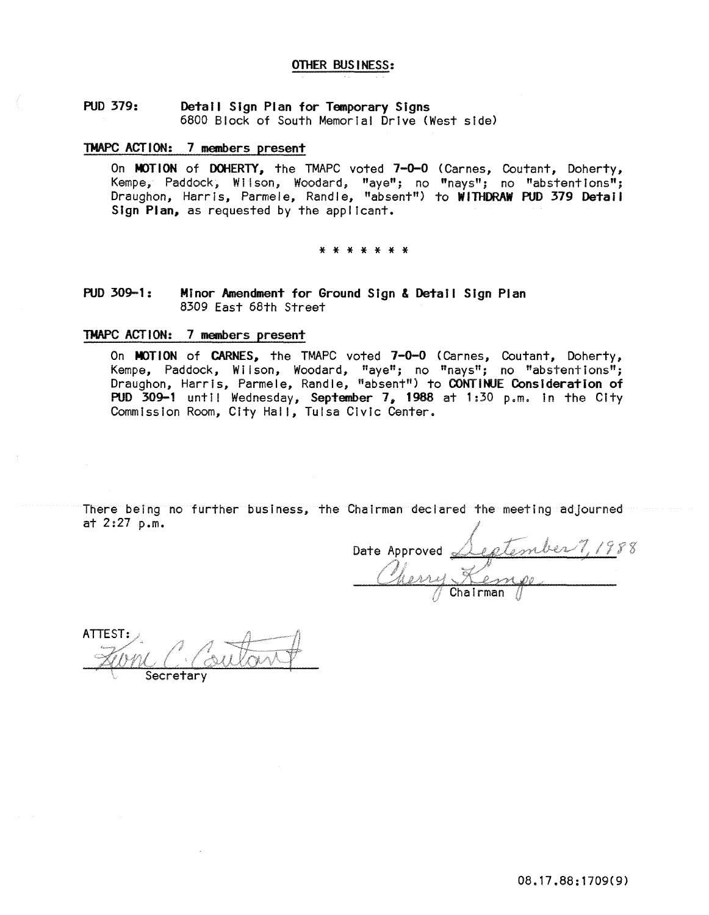## OTHER BUS I NESS:

#### PUD 319: Detail Sign Plan for Temporary Signs 6800 Block of South Memorial Drive (West side)

## TMAPC ACTION: 7 members present

On MOTION of DOHERTY, the TMAPC voted 7-0-0 (Carnes, Coutant, Doherty, Kempe, Paddock, Wilson, Woodard, "aye"; no "nays"; no "abstentions"; Draughon, Harris, Parmele, Randle, "absent") to WITHDRAW PUD 319 Detail Sign Plan, as requested by the applicant.

#### \* \* \* \* \* \* \*

PUD 309-1: Minor Amendment for Ground Sign & Detail Sign Plan 8309 East 68th Street

## TMAPC ACTION: 7 members present

On MOTION of CARNES, the TMAPC voted 7-0-0 (Carnes, Coutant, Doherty, **Kempe, Paddock, Wiison, Woodard, "aye"; no "nays"; no "abstentions";**  Draughon, Harris, Parmele, Randle, "absent") to CONTINUE Consideration of PUD 309-1 until Wednesday, September 1, 1988 at 1:30 p.m. In the City Commission Room, City Hal I, Tulsa Civic Center.

There being no further business, the Chairman deciared the meeting adjourned at 2:27 p.m.

Date Approved <u>September 7, 1988</u><br>Cherry Kempe

ATTEST: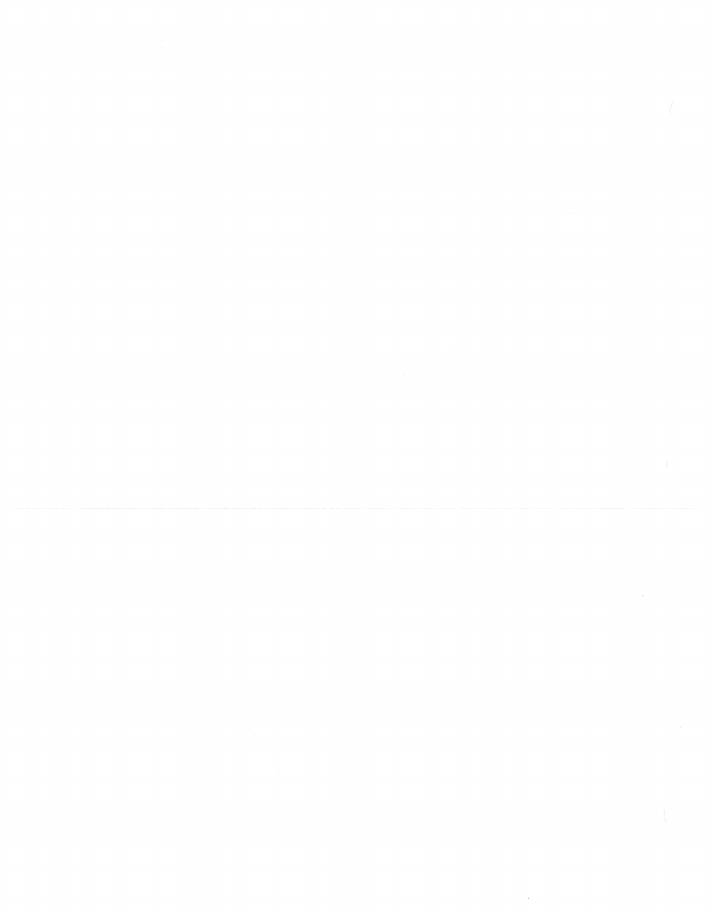$\hat{\boldsymbol{\beta}}$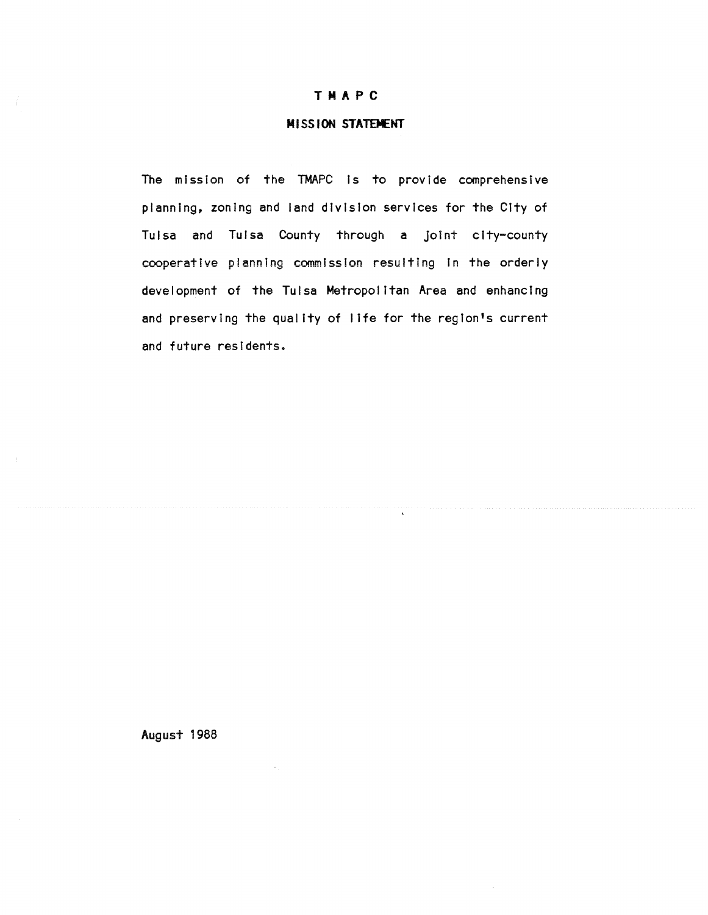# THAPC

# MISSION STATEMENT

The mission of the TMAPC is to provide comprehensive planning, zoning and land division services for the City of Tulsa and Tulsa County through a joint city-county cooperative planning commission resulting in the orderly development of the Tulsa Metropolitan Area and enhancing and preserving the quality of life for the region's current and future residents.

August 1988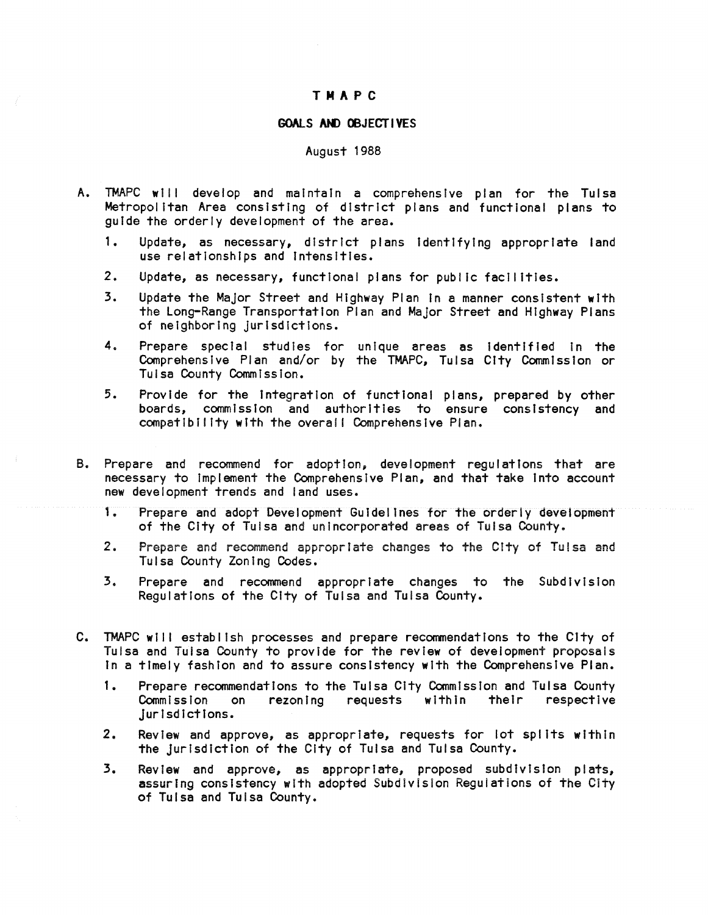# TMAPC

#### GOALS AND OBJECTIVES

#### August 1988

- A. TMAPC will develop and maintain a comprehensIve plan for the Tulsa Metropolitan Area consisting of district plans and functional plans to guide the orderly development of the area.
	- 1. Update, as necessary, district plans identifying appropriate land use relationships and Intensities.
	- 2. Update, as necessary, functional plans for publIc facilities.
	- 3. Update the Major Street and Highway Plan In a manner consistent with the Long-Range Transportation Plan and Major Street and Highway Plans of neighboring Jurisdictions.
	- 4. Prepare special studies for unique areas as Identified tn the Comprehensive Plan and/or by the TMAPC, Tulsa City Commission or Tulsa County CommissIon.
	- 5. Provide for the integration of functional plans, prepared by other boards, commission and authorities to ensure consistency and compatibility with the overall Comprehensive Plan.
- B. Prepare and recommend for adoption, development regulations that are necessary to Implement the Comprehensive Plan, and that take Into account new development trends and land uses.
	- 1. Prepare and adopt Development Guidelines for the orderly development of the City of Tulsa and unincorporated areas of Tulsa County.
	- 2. Prepare and recommend appropriate changes to the City of Tulsa and Tulsa County Zoning Codes.
	- 3. Prepare and recommend appropriate changes to the SubdivIsion Regulations of the City of Tulsa and Tulsa County.
- C. TMAPC will establish processes and prepare recommendations to the City of Tuisa and Tuisa County to provide for the review of deveiopment proposals In a timely fashion and to assure consistency with the ComprehensIve Plan.
	- 1. Prepare recommendations to the Tulsa City Commission and Tulsa County<br>Commission on rezoning requests within their respective Commission on Jurisdictions.
	- 2. Review and approve, as appropriate, requests for lot splits within the jurisdiction of the City of Tulsa and Tulsa County.
	- 3. Review and approve, as approprIate, proposed subdivision plats, assuring consistency with adopted Subdivision Regulations of the City of Tulsa and Tulsa County.